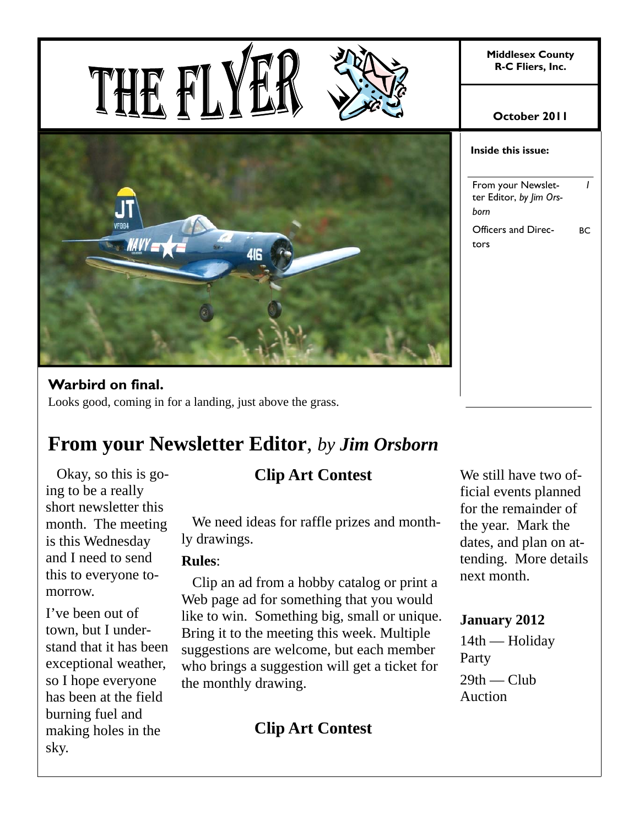**Middlesex County R-C Fliers, Inc.** 



### **Warbird on final.**

THE F

Looks good, coming in for a landing, just above the grass.

### **From your Newsletter Editor**, *by Jim Orsborn*

 Okay, so this is going to be a really short newsletter this month. The meeting is this Wednesday and I need to send this to everyone tomorrow.

I've been out of town, but I understand that it has been exceptional weather, so I hope everyone has been at the field burning fuel and making holes in the sky.

### **Clip Art Contest**

 We need ideas for raffle prizes and monthly drawings.

### **Rules**:

 Clip an ad from a hobby catalog or print a Web page ad for something that you would like to win. Something big, small or unique. Bring it to the meeting this week. Multiple suggestions are welcome, but each member who brings a suggestion will get a ticket for the monthly drawing.

**Clip Art Contest** 

#### **October 2011**

#### **Inside this issue:**

From your Newsletter Editor, *by Jim Orsborn 1*  Officers and Directors BC

We still have two official events planned for the remainder of the year. Mark the dates, and plan on attending. More details next month.

### **January 2012**

14th — Holiday Party  $29th$  — Club Auction